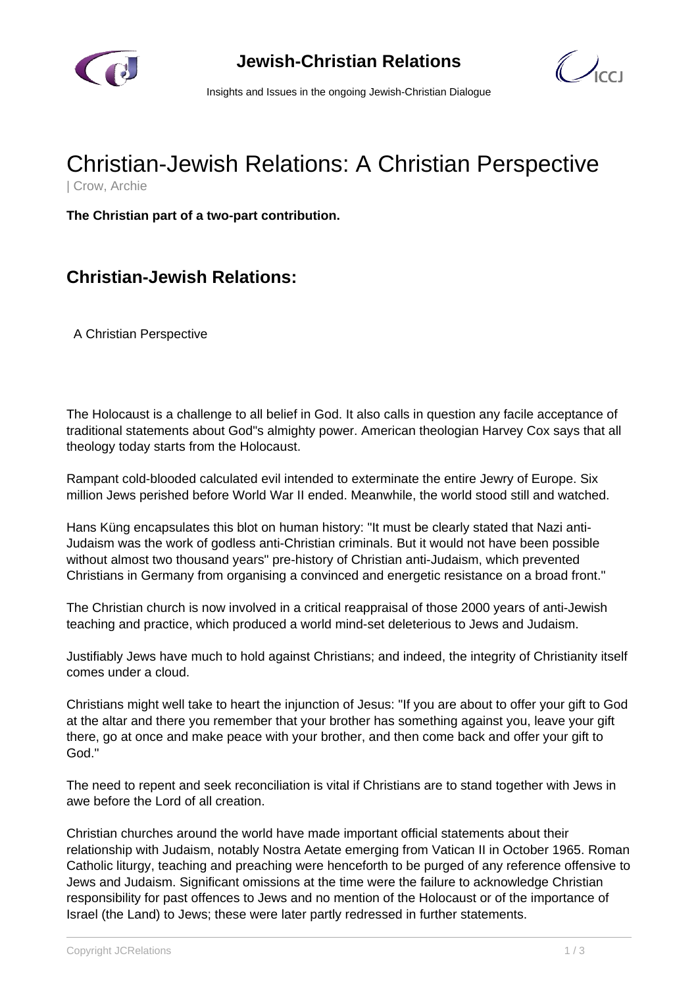



Insights and Issues in the ongoing Jewish-Christian Dialogue

## Christian-Jewish Relations: A Christian Perspective

| Crow, Archie

**The Christian part of a two-part contribution.**

## **Christian-Jewish Relations:**

A Christian Perspective

The Holocaust is a challenge to all belief in God. It also calls in question any facile acceptance of traditional statements about God"s almighty power. American theologian Harvey Cox says that all theology today starts from the Holocaust.

Rampant cold-blooded calculated evil intended to exterminate the entire Jewry of Europe. Six million Jews perished before World War II ended. Meanwhile, the world stood still and watched.

Hans Küng encapsulates this blot on human history: "It must be clearly stated that Nazi anti-Judaism was the work of godless anti-Christian criminals. But it would not have been possible without almost two thousand years" pre-history of Christian anti-Judaism, which prevented Christians in Germany from organising a convinced and energetic resistance on a broad front."

The Christian church is now involved in a critical reappraisal of those 2000 years of anti-Jewish teaching and practice, which produced a world mind-set deleterious to Jews and Judaism.

Justifiably Jews have much to hold against Christians; and indeed, the integrity of Christianity itself comes under a cloud.

Christians might well take to heart the injunction of Jesus: "If you are about to offer your gift to God at the altar and there you remember that your brother has something against you, leave your gift there, go at once and make peace with your brother, and then come back and offer your gift to God."

The need to repent and seek reconciliation is vital if Christians are to stand together with Jews in awe before the Lord of all creation.

Christian churches around the world have made important official statements about their relationship with Judaism, notably Nostra Aetate emerging from Vatican II in October 1965. Roman Catholic liturgy, teaching and preaching were henceforth to be purged of any reference offensive to Jews and Judaism. Significant omissions at the time were the failure to acknowledge Christian responsibility for past offences to Jews and no mention of the Holocaust or of the importance of Israel (the Land) to Jews; these were later partly redressed in further statements.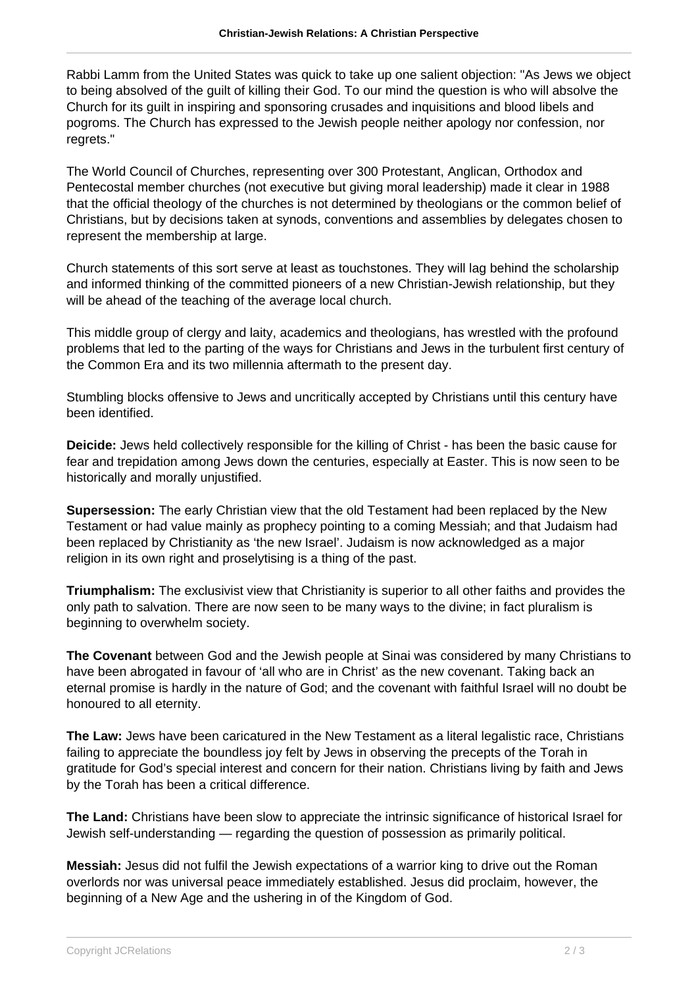Rabbi Lamm from the United States was quick to take up one salient objection: "As Jews we object to being absolved of the guilt of killing their God. To our mind the question is who will absolve the Church for its guilt in inspiring and sponsoring crusades and inquisitions and blood libels and pogroms. The Church has expressed to the Jewish people neither apology nor confession, nor regrets."

The World Council of Churches, representing over 300 Protestant, Anglican, Orthodox and Pentecostal member churches (not executive but giving moral leadership) made it clear in 1988 that the official theology of the churches is not determined by theologians or the common belief of Christians, but by decisions taken at synods, conventions and assemblies by delegates chosen to represent the membership at large.

Church statements of this sort serve at least as touchstones. They will lag behind the scholarship and informed thinking of the committed pioneers of a new Christian-Jewish relationship, but they will be ahead of the teaching of the average local church.

This middle group of clergy and laity, academics and theologians, has wrestled with the profound problems that led to the parting of the ways for Christians and Jews in the turbulent first century of the Common Era and its two millennia aftermath to the present day.

Stumbling blocks offensive to Jews and uncritically accepted by Christians until this century have been identified.

**Deicide:** Jews held collectively responsible for the killing of Christ - has been the basic cause for fear and trepidation among Jews down the centuries, especially at Easter. This is now seen to be historically and morally unjustified.

**Supersession:** The early Christian view that the old Testament had been replaced by the New Testament or had value mainly as prophecy pointing to a coming Messiah; and that Judaism had been replaced by Christianity as 'the new Israel'. Judaism is now acknowledged as a major religion in its own right and proselytising is a thing of the past.

**Triumphalism:** The exclusivist view that Christianity is superior to all other faiths and provides the only path to salvation. There are now seen to be many ways to the divine; in fact pluralism is beginning to overwhelm society.

**The Covenant** between God and the Jewish people at Sinai was considered by many Christians to have been abrogated in favour of 'all who are in Christ' as the new covenant. Taking back an eternal promise is hardly in the nature of God; and the covenant with faithful Israel will no doubt be honoured to all eternity.

**The Law:** Jews have been caricatured in the New Testament as a literal legalistic race, Christians failing to appreciate the boundless joy felt by Jews in observing the precepts of the Torah in gratitude for God's special interest and concern for their nation. Christians living by faith and Jews by the Torah has been a critical difference.

**The Land:** Christians have been slow to appreciate the intrinsic significance of historical Israel for Jewish self-understanding — regarding the question of possession as primarily political.

**Messiah:** Jesus did not fulfil the Jewish expectations of a warrior king to drive out the Roman overlords nor was universal peace immediately established. Jesus did proclaim, however, the beginning of a New Age and the ushering in of the Kingdom of God.